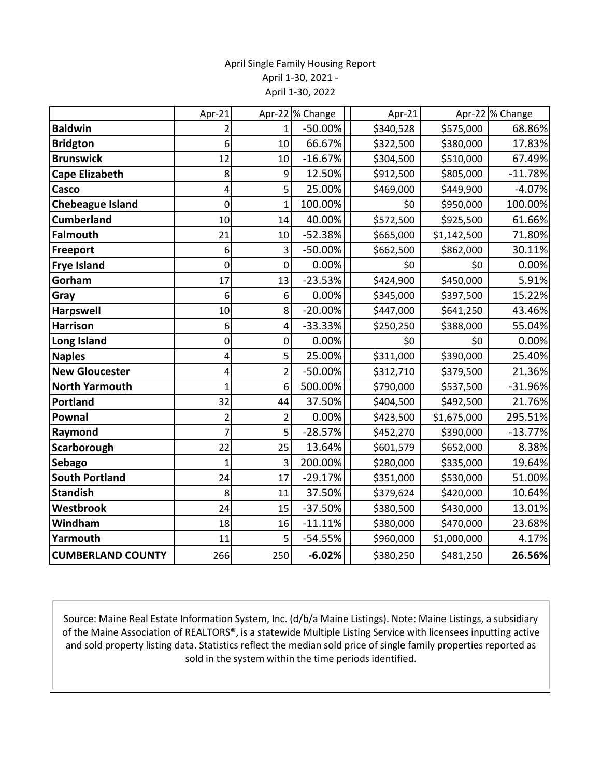## April Single Family Housing Report April 1-30, 2021 - April 1-30, 2022

|                          | Apr-21         |                | Apr-22 % Change | Apr-21    |             | Apr-22 % Change |
|--------------------------|----------------|----------------|-----------------|-----------|-------------|-----------------|
| <b>Baldwin</b>           |                | 1              | $-50.00%$       | \$340,528 | \$575,000   | 68.86%          |
| <b>Bridgton</b>          | 6              | 10             | 66.67%          | \$322,500 | \$380,000   | 17.83%          |
| <b>Brunswick</b>         | 12             | 10             | $-16.67%$       | \$304,500 | \$510,000   | 67.49%          |
| <b>Cape Elizabeth</b>    | 8              | 9              | 12.50%          | \$912,500 | \$805,000   | $-11.78%$       |
| Casco                    | 4              | 5              | 25.00%          | \$469,000 | \$449,900   | $-4.07%$        |
| <b>Chebeague Island</b>  | 0              | $\overline{1}$ | 100.00%         | \$0       | \$950,000   | 100.00%         |
| <b>Cumberland</b>        | 10             | 14             | 40.00%          | \$572,500 | \$925,500   | 61.66%          |
| <b>Falmouth</b>          | 21             | 10             | $-52.38%$       | \$665,000 | \$1,142,500 | 71.80%          |
| Freeport                 | 6              | 3              | $-50.00%$       | \$662,500 | \$862,000   | 30.11%          |
| <b>Frye Island</b>       | 0              | 0              | 0.00%           | \$0       | \$0         | 0.00%           |
| Gorham                   | 17             | 13             | $-23.53%$       | \$424,900 | \$450,000   | 5.91%           |
| Gray                     | 6              | 6              | 0.00%           | \$345,000 | \$397,500   | 15.22%          |
| <b>Harpswell</b>         | 10             | 8              | $-20.00%$       | \$447,000 | \$641,250   | 43.46%          |
| <b>Harrison</b>          | 6              | 4              | $-33.33%$       | \$250,250 | \$388,000   | 55.04%          |
| Long Island              | 0              | 0              | 0.00%           | \$0       | \$0         | 0.00%           |
| <b>Naples</b>            | 4              | 5              | 25.00%          | \$311,000 | \$390,000   | 25.40%          |
| <b>New Gloucester</b>    | 4              | $\overline{2}$ | $-50.00%$       | \$312,710 | \$379,500   | 21.36%          |
| <b>North Yarmouth</b>    | $\mathbf{1}$   | 6              | 500.00%         | \$790,000 | \$537,500   | $-31.96%$       |
| <b>Portland</b>          | 32             | 44             | 37.50%          | \$404,500 | \$492,500   | 21.76%          |
| <b>Pownal</b>            | $\overline{2}$ | $\overline{2}$ | 0.00%           | \$423,500 | \$1,675,000 | 295.51%         |
| Raymond                  | 7              | 5              | $-28.57%$       | \$452,270 | \$390,000   | $-13.77%$       |
| Scarborough              | 22             | 25             | 13.64%          | \$601,579 | \$652,000   | 8.38%           |
| Sebago                   | $\overline{1}$ | 3              | 200.00%         | \$280,000 | \$335,000   | 19.64%          |
| <b>South Portland</b>    | 24             | 17             | $-29.17%$       | \$351,000 | \$530,000   | 51.00%          |
| <b>Standish</b>          | 8              | 11             | 37.50%          | \$379,624 | \$420,000   | 10.64%          |
| Westbrook                | 24             | 15             | $-37.50%$       | \$380,500 | \$430,000   | 13.01%          |
| Windham                  | 18             | 16             | $-11.11%$       | \$380,000 | \$470,000   | 23.68%          |
| Yarmouth                 | 11             | 5              | $-54.55%$       | \$960,000 | \$1,000,000 | 4.17%           |
| <b>CUMBERLAND COUNTY</b> | 266            | 250            | $-6.02%$        | \$380,250 | \$481,250   | 26.56%          |

Source: Maine Real Estate Information System, Inc. (d/b/a Maine Listings). Note: Maine Listings, a subsidiary of the Maine Association of REALTORS®, is a statewide Multiple Listing Service with licensees inputting active and sold property listing data. Statistics reflect the median sold price of single family properties reported as sold in the system within the time periods identified.